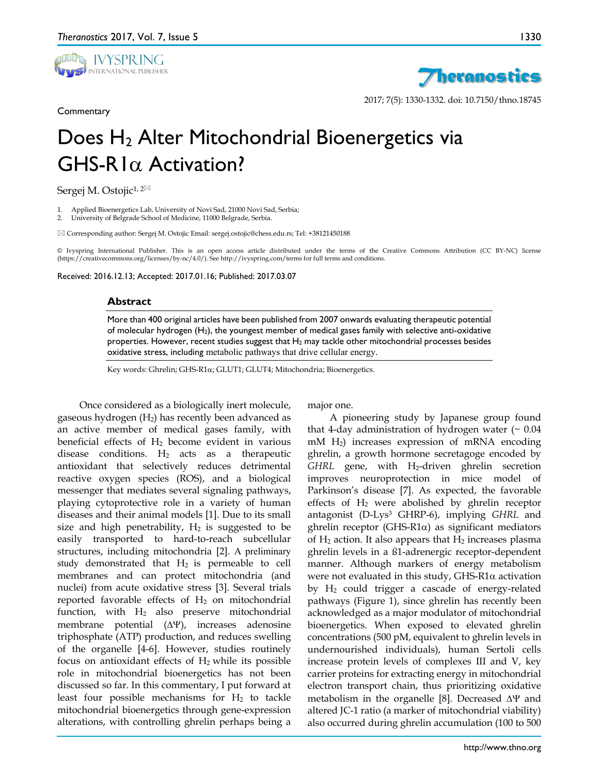

**Commentary** 





2017; 7(5): 1330-1332. doi: 10.7150/thno.18745

# Does H<sub>2</sub> Alter Mitochondrial Bioenergetics via GHS-R1α Activation?

Sergej M. Ostojic<sup>1, 2⊠</sup>

1. Applied Bioenergetics Lab, University of Novi Sad, 21000 Novi Sad, Serbia;

2. University of Belgrade School of Medicine, 11000 Belgrade, Serbia.

 $\boxtimes$  Corresponding author: Sergej M. Ostojic Email: sergej.ostojic@chess.edu.rs; Tel: +38121450188

© Ivyspring International Publisher. This is an open access article distributed under the terms of the Creative Commons Attribution (CC BY-NC) license (https://creativecommons.org/licenses/by-nc/4.0/). See http://ivyspring.com/terms for full terms and conditions.

Received: 2016.12.13; Accepted: 2017.01.16; Published: 2017.03.07

#### **Abstract**

More than 400 original articles have been published from 2007 onwards evaluating therapeutic potential of molecular hydrogen (H2), the youngest member of medical gases family with selective anti-oxidative properties. However, recent studies suggest that  $H_2$  may tackle other mitochondrial processes besides oxidative stress, including metabolic pathways that drive cellular energy.

Key words: Ghrelin; GHS-R1α; GLUT1; GLUT4; Mitochondria; Bioenergetics.

Once considered as a biologically inert molecule, gaseous hydrogen  $(H_2)$  has recently been advanced as an active member of medical gases family, with beneficial effects of  $H_2$  become evident in various disease conditions.  $H_2$  acts as a therapeutic antioxidant that selectively reduces detrimental reactive oxygen species (ROS), and a biological messenger that mediates several signaling pathways, playing cytoprotective role in a variety of human diseases and their animal models [1]. Due to its small size and high penetrability,  $H_2$  is suggested to be easily transported to hard-to-reach subcellular structures, including mitochondria [2]. A preliminary study demonstrated that  $H_2$  is permeable to cell membranes and can protect mitochondria (and nuclei) from acute oxidative stress [3]. Several trials reported favorable effects of  $H_2$  on mitochondrial function, with  $H_2$  also preserve mitochondrial membrane potential (∆Ψ), increases adenosine triphosphate (ATP) production, and reduces swelling of the organelle [4-6]. However, studies routinely focus on antioxidant effects of  $H_2$  while its possible role in mitochondrial bioenergetics has not been discussed so far. In this commentary, I put forward at least four possible mechanisms for  $H_2$  to tackle mitochondrial bioenergetics through gene-expression alterations, with controlling ghrelin perhaps being a

major one.

A pioneering study by Japanese group found that 4-day administration of hydrogen water  $( \sim 0.04$ mM H2) increases expression of mRNA encoding ghrelin, a growth hormone secretagoge encoded by *GHRL* gene, with H2-driven ghrelin secretion improves neuroprotection in mice model of Parkinson's disease [7]. As expected, the favorable effects of  $H_2$  were abolished by ghrelin receptor antagonist (D-Lys3 GHRP-6), implying *GHRL* and ghrelin receptor (GHS-R1α) as significant mediators of  $H_2$  action. It also appears that  $H_2$  increases plasma ghrelin levels in a ß1-adrenergic receptor-dependent manner. Although markers of energy metabolism were not evaluated in this study,  $GHS-R1\alpha$  activation by H2 could trigger a cascade of energy-related pathways (Figure 1), since ghrelin has recently been acknowledged as a major modulator of mitochondrial bioenergetics. When exposed to elevated ghrelin concentrations (500 pM, equivalent to ghrelin levels in undernourished individuals), human Sertoli cells increase protein levels of complexes III and V, key carrier proteins for extracting energy in mitochondrial electron transport chain, thus prioritizing oxidative metabolism in the organelle [8]. Decreased ∆Ψ and altered JC-1 ratio (a marker of mitochondrial viability) also occurred during ghrelin accumulation (100 to 500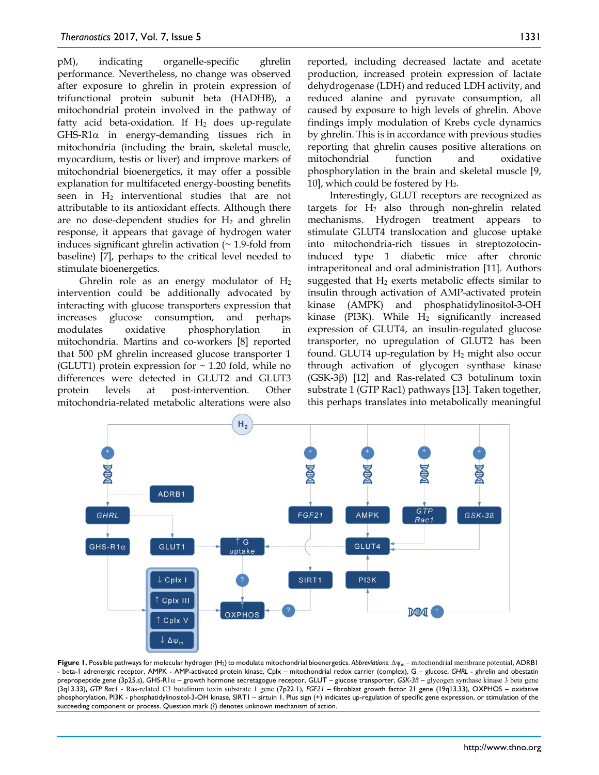pM), indicating organelle-specific ghrelin performance. Nevertheless, no change was observed after exposure to ghrelin in protein expression of trifunctional protein subunit beta (HADHB), a mitochondrial protein involved in the pathway of fatty acid beta-oxidation. If  $H_2$  does up-regulate GHS-R1α in energy-demanding tissues rich in mitochondria (including the brain, skeletal muscle, myocardium, testis or liver) and improve markers of mitochondrial bioenergetics, it may offer a possible explanation for multifaceted energy-boosting benefits seen in H2 interventional studies that are not attributable to its antioxidant effects. Although there are no dose-dependent studies for  $H_2$  and ghrelin response, it appears that gavage of hydrogen water induces significant ghrelin activation  $($   $\sim$  1.9-fold from baseline) [7], perhaps to the critical level needed to stimulate bioenergetics.

Ghrelin role as an energy modulator of  $H_2$ intervention could be additionally advocated by interacting with glucose transporters expression that increases glucose consumption, and perhaps modulates oxidative phosphorylation in mitochondria. Martins and co-workers [8] reported that 500 pM ghrelin increased glucose transporter 1 (GLUT1) protein expression for  $\sim$  1.20 fold, while no differences were detected in GLUT2 and GLUT3 protein levels at post-intervention. Other mitochondria-related metabolic alterations were also

reported, including decreased lactate and acetate production, increased protein expression of lactate dehydrogenase (LDH) and reduced LDH activity, and reduced alanine and pyruvate consumption, all caused by exposure to high levels of ghrelin. Above findings imply modulation of Krebs cycle dynamics by ghrelin. This is in accordance with previous studies reporting that ghrelin causes positive alterations on mitochondrial function and oxidative phosphorylation in the brain and skeletal muscle [9, 10], which could be fostered by H2.

Interestingly, GLUT receptors are recognized as targets for  $H_2$  also through non-ghrelin related mechanisms. Hydrogen treatment appears to stimulate GLUT4 translocation and glucose uptake into mitochondria-rich tissues in streptozotocininduced type 1 diabetic mice after chronic intraperitoneal and oral administration [11]. Authors suggested that  $H_2$  exerts metabolic effects similar to insulin through activation of AMP-activated protein kinase (AMPK) and phosphatidylinositol-3-OH kinase (PI3K). While  $H_2$  significantly increased expression of GLUT4, an insulin-regulated glucose transporter, no upregulation of GLUT2 has been found. GLUT4 up-regulation by  $H_2$  might also occur through activation of glycogen synthase kinase (GSK-3β) [12] and Ras-related C3 botulinum toxin substrate 1 (GTP Rac1) pathways [13]. Taken together, this perhaps translates into metabolically meaningful



**Figure 1.** Possible pathways for molecular hydrogen (H2)to modulate mitochondrial bioenergetics. *Abbreviations*: Δψ<sup>m</sup> – mitochondrial membrane potential, ADRB1 - beta-1 adrenergic receptor, AMPK - AMP-activated protein kinase, Cplx – mitochondrial redox carrier (complex), G – glucose, *GHRL* - ghrelin and obestatin prepropeptide gene (3p25.s), GHS-R1α – growth hormone secretagogue receptor, GLUT – glucose transporter, *GSK-3ß* – glycogen synthase kinase 3 beta gene (3q13.33), *GTP Rac1* - Ras-related C3 botulinum toxin substrate 1 gene (7p22.1), *FGF21 –* fibroblast growth factor 21 gene (19q13.33), OXPHOS – oxidative phosphorylation, PI3K - phosphatidylinositol-3-OH kinase, SIRT1 – sirtuin 1. Plus sign (+) indicates up-regulation of specific gene expression, or stimulation of the succeeding component or process. Question mark (?) denotes unknown mechanism of action.